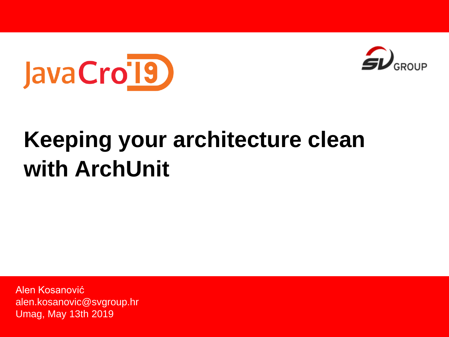



# **Keeping your architecture clean with ArchUnit**

Alen Kosanović alen.kosanovic@svgroup.hr Umag, May 13th 2019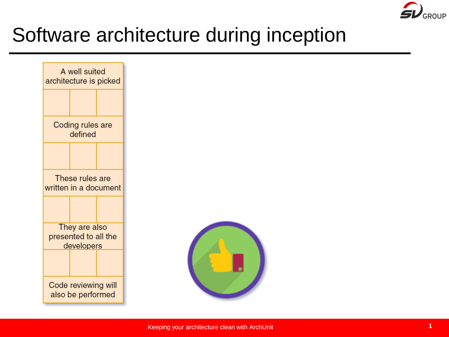

### Software architecture during inception



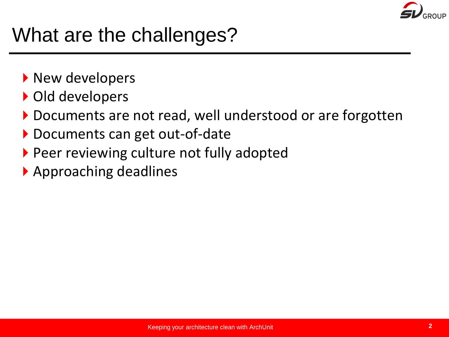

### What are the challenges?

- New developers
- ▶ Old developers
- Documents are not read, well understood or are forgotten
- ▶ Documents can get out-of-date
- ▶ Peer reviewing culture not fully adopted
- ▶ Approaching deadlines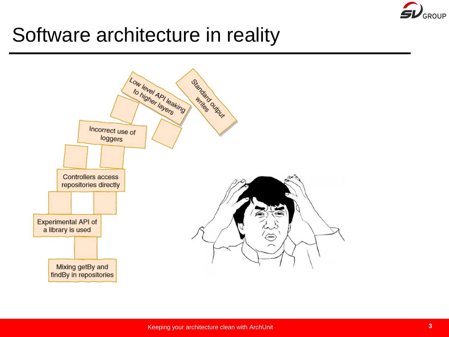

### Software architecture in reality

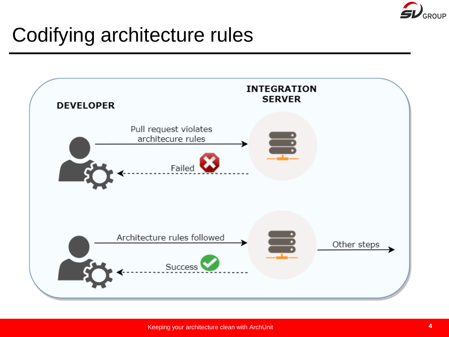

### Codifying architecture rules

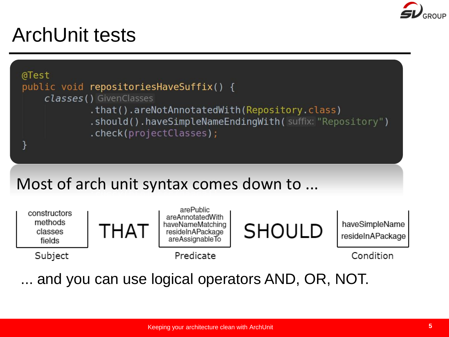

### ArchUnit tests



... and you can use logical operators AND, OR, NOT.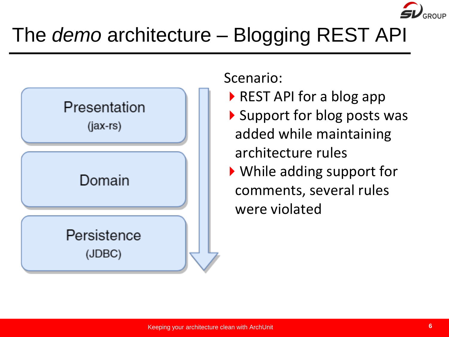

# The *demo* architecture – Blogging REST API



Scenario:

- ▶ REST API for a blog app
- ▶ Support for blog posts was added while maintaining architecture rules
- While adding support for comments, several rules were violated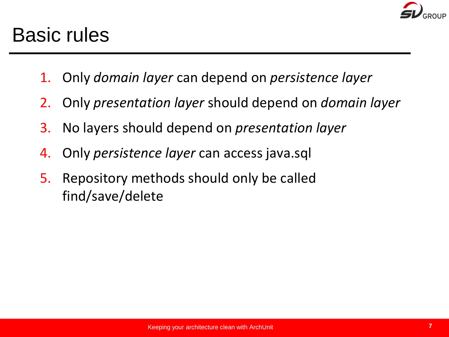

#### Basic rules

- 1. Only *domain layer* can depend on *persistence layer*
- 2. Only *presentation layer* should depend on *domain layer*
- 3. No layers should depend on *presentation layer*
- 4. Only *persistence layer* can access java.sql
- 5. Repository methods should only be called find/save/delete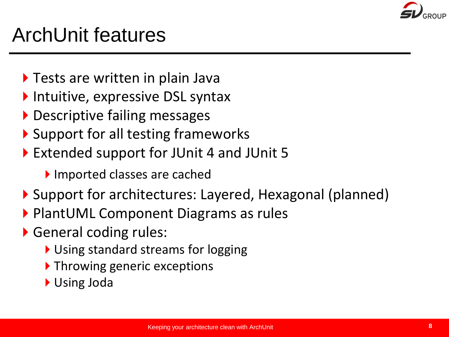

### ArchUnit features

- **Tests are written in plain Java**
- $\blacktriangleright$  Intuitive, expressive DSL syntax
- ▶ Descriptive failing messages
- ▶ Support for all testing frameworks
- ▶ Extended support for JUnit 4 and JUnit 5
	- Imported classes are cached
- ▶ Support for architectures: Layered, Hexagonal (planned)
- ▶ PlantUML Component Diagrams as rules
- ▶ General coding rules:
	- ▶ Using standard streams for logging
	- ▶ Throwing generic exceptions
	- Using Joda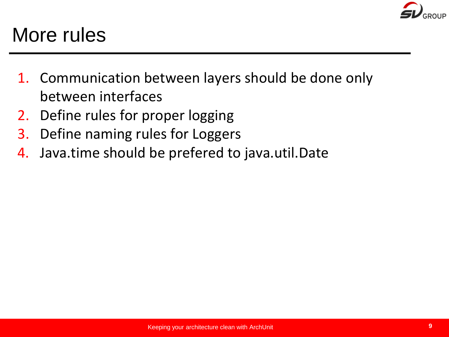

#### More rules

- 1. Communication between layers should be done only between interfaces
- 2. Define rules for proper logging
- 3. Define naming rules for Loggers
- 4. Java.time should be prefered to java.util.Date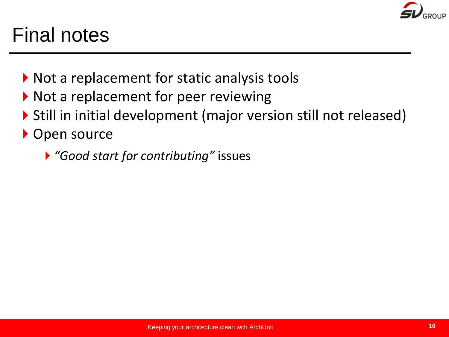

#### Final notes

- ▶ Not a replacement for static analysis tools
- ▶ Not a replacement for peer reviewing
- ▶ Still in initial development (major version still not released)
- ▶ Open source
	- *"Good start for contributing"* issues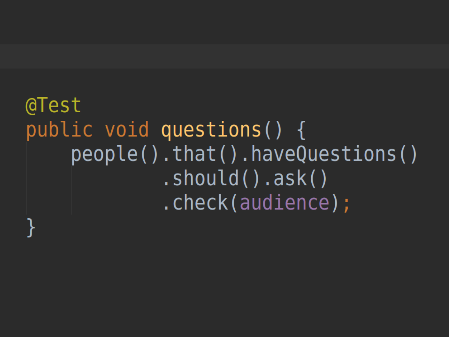## @Test public void questions() { people().that().haveQuestions()  $.show()$ .ask()  $.$   $check(a$ *udience*);